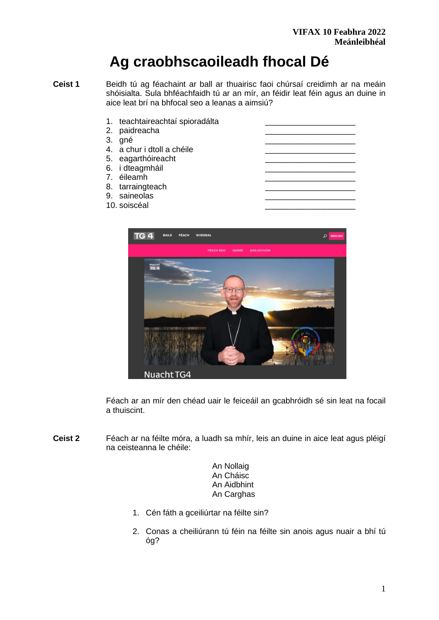# **Ag craobhscaoileadh fhocal Dé**

**Ceist 1** Beidh tú ag féachaint ar ball ar thuairisc faoi chúrsaí creidimh ar na meáin shóisialta. Sula bhféachfaidh tú ar an mír, an féidir leat féin agus an duine in aice leat brí na bhfocal seo a leanas a aimsiú?

|    | 1. teachtaireachtaí spioradálta<br>2. paidreacha |  |
|----|--------------------------------------------------|--|
| 3. | gné                                              |  |
|    | 4. a chur i dtoll a chéile                       |  |
|    |                                                  |  |
|    | 5. eagarthóireacht                               |  |
|    | 6. i dteagmháil                                  |  |
|    | 7. éileamh                                       |  |
|    | 8. tarraingteach                                 |  |
|    | 9. saineolas                                     |  |
|    | 10. soiscéal                                     |  |



Féach ar an mír den chéad uair le feiceáil an gcabhróidh sé sin leat na focail a thuiscint.

**Ceist 2** Féach ar na féilte móra, a luadh sa mhír, leis an duine in aice leat agus pléigí na ceisteanna le chéile:

> An Nollaig An Cháisc An Aidbhint An Carghas

- 1. Cén fáth a gceiliúrtar na féilte sin?
- 2. Conas a cheiliúrann tú féin na féilte sin anois agus nuair a bhí tú óg?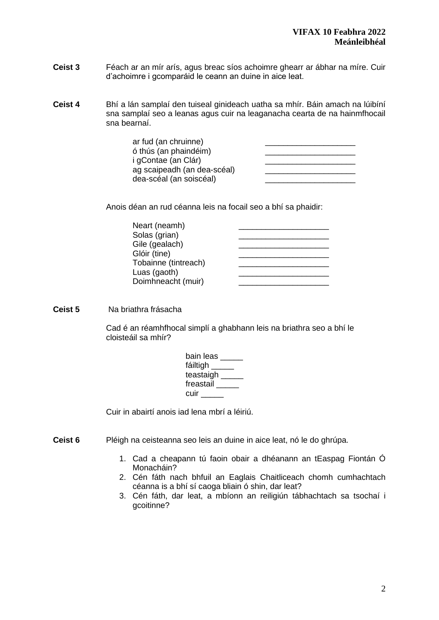- **Ceist 3** Féach ar an mír arís, agus breac síos achoimre ghearr ar ábhar na míre. Cuir d'achoimre i gcomparáid le ceann an duine in aice leat.
- **Ceist 4** Bhí a lán samplaí den tuiseal ginideach uatha sa mhír. Báin amach na lúibíní sna samplaí seo a leanas agus cuir na leaganacha cearta de na hainmfhocail sna bearnaí.

ar fud (an chruinne) ó thús (an phaindéim) **an chuidean** anns an chuidean an chuidean an chuidean an chuidean an chuidean an chuidean i gContae (an Clár) ag scaipeadh (an dea-scéal) **an chuidearach** dea-scéal (an soiscéal) \_\_\_\_\_\_\_\_\_\_\_\_\_\_\_\_\_\_\_\_

Anois déan an rud céanna leis na focail seo a bhí sa phaidir:

**Ceist 5** Na briathra frásacha

Cad é an réamhfhocal simplí a ghabhann leis na briathra seo a bhí le cloisteáil sa mhír?

| bain leas |  |  |
|-----------|--|--|
| fáiltigh  |  |  |
| teastaigh |  |  |
| freastail |  |  |
| cuir      |  |  |

Cuir in abairtí anois iad lena mbrí a léiriú.

- **Ceist 6** Pléigh na ceisteanna seo leis an duine in aice leat, nó le do ghrúpa.
	- 1. Cad a cheapann tú faoin obair a dhéanann an tEaspag Fiontán Ó Monacháin?
	- 2. Cén fáth nach bhfuil an Eaglais Chaitliceach chomh cumhachtach céanna is a bhí sí caoga bliain ó shin, dar leat?
	- 3. Cén fáth, dar leat, a mbíonn an reiligiún tábhachtach sa tsochaí i gcoitinne?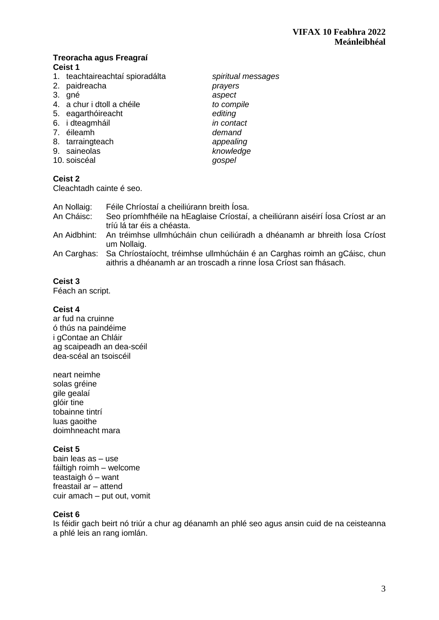# **Treoracha agus Freagraí**

# **Ceist 1**

- 1. teachtaireachtaí spioradálta *spiritual messages*
- 
- 
- 4. a chur i dtoll a chéile *to compile*
- 5. eagarthóireacht *editing*
- 6. i dteagmháil *in contact*
- 7. éileamh *demand*
- 8. tarraingteach *appealing*
- 
- 10. soiscéal *gospel*

# **Ceist 2**

Cleachtadh cainte é seo.

| An Nollaig: | Féile Chríostaí a cheiliúrann breith Íosa.                                                                                                                  |
|-------------|-------------------------------------------------------------------------------------------------------------------------------------------------------------|
| An Cháisc:  | Seo príomhfhéile na hEaglaise Críostaí, a cheiliúrann aiséirí Íosa Críost ar an<br>tríú lá tar éis a chéasta.                                               |
|             | An Aidbhint: An tréimhse ullmhúcháin chun ceiliúradh a dhéanamh ar bhreith Íosa Críost<br>um Nollaig.                                                       |
|             | An Carghas: Sa Chríostaíocht, tréimhse ullmhúcháin é an Carghas roimh an gCáisc, chun<br>aithris a dhéanamh ar an troscadh a rinne Íosa Críost san fhásach. |

# **Ceist 3**

Féach an script.

# **Ceist 4**

ar fud na cruinne ó thús na paindéime i gContae an Chláir ag scaipeadh an dea-scéil dea-scéal an tsoiscéil

neart neimhe solas gréine gile gealaí glóir tine tobainne tintrí luas gaoithe doimhneacht mara

# **Ceist 5**

bain leas as – use fáiltigh roimh – welcome teastaigh ó – want freastail ar – attend cuir amach – put out, vomit

# **Ceist 6**

Is féidir gach beirt nó triúr a chur ag déanamh an phlé seo agus ansin cuid de na ceisteanna a phlé leis an rang iomlán.

2. paidreacha *prayers* 3. gné *aspect* 9. saineolas *knowledge*